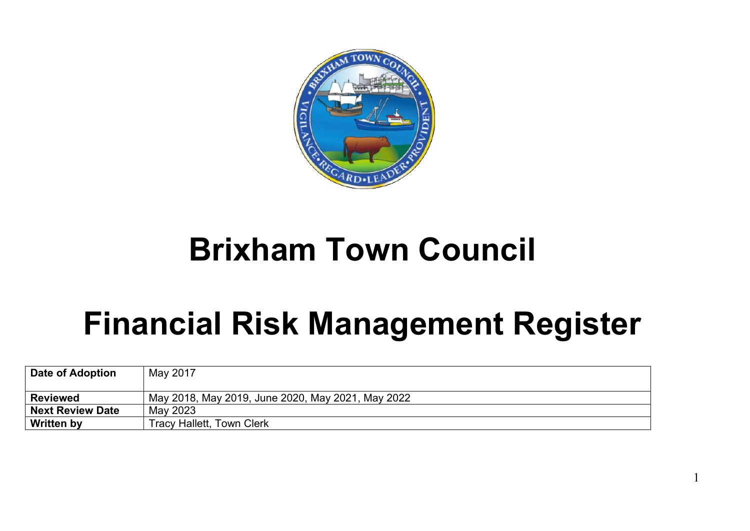

## **Brixham Town Council**

## **Financial Risk Management Register**

1

| Date of Adoption        | May 2017                                          |
|-------------------------|---------------------------------------------------|
|                         |                                                   |
| <b>Reviewed</b>         | May 2018, May 2019, June 2020, May 2021, May 2022 |
| <b>Next Review Date</b> | May 2023                                          |
| <b>Written by</b>       | <b>Tracy Hallett, Town Clerk</b>                  |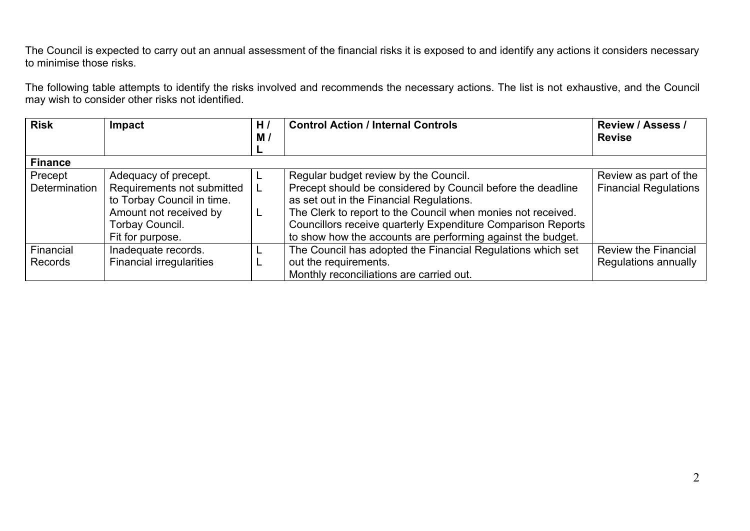The Council is expected to carry out an annual assessment of the financial risks it is exposed to and identify any actions it considers necessary to minimise those risks.

The following table attempts to identify the risks involved and recommends the necessary actions. The list is not exhaustive, and the Council may wish to consider other risks not identified.

| <b>Risk</b>    | <b>Impact</b>                   | H <sub>I</sub> | <b>Control Action / Internal Controls</b>                    | <b>Review / Assess /</b>     |
|----------------|---------------------------------|----------------|--------------------------------------------------------------|------------------------------|
|                |                                 | M/             |                                                              | <b>Revise</b>                |
|                |                                 |                |                                                              |                              |
| <b>Finance</b> |                                 |                |                                                              |                              |
| Precept        | Adequacy of precept.            |                | Regular budget review by the Council.                        | Review as part of the        |
| Determination  | Requirements not submitted      |                | Precept should be considered by Council before the deadline  | <b>Financial Regulations</b> |
|                | to Torbay Council in time.      |                | as set out in the Financial Regulations.                     |                              |
|                | Amount not received by          |                | The Clerk to report to the Council when monies not received. |                              |
|                | Torbay Council.                 |                | Councillors receive quarterly Expenditure Comparison Reports |                              |
|                | Fit for purpose.                |                | to show how the accounts are performing against the budget.  |                              |
| Financial      | Inadequate records.             |                | The Council has adopted the Financial Regulations which set  | <b>Review the Financial</b>  |
| Records        | <b>Financial irregularities</b> |                | out the requirements.                                        | Regulations annually         |
|                |                                 |                | Monthly reconciliations are carried out.                     |                              |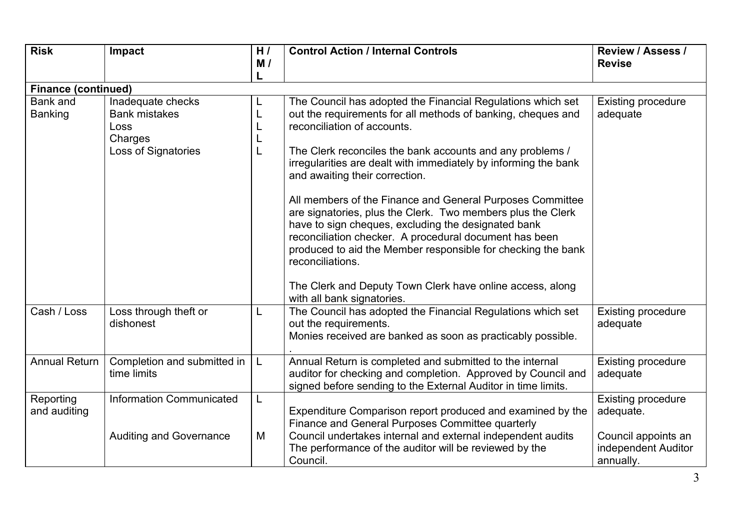| <b>Risk</b>                       | Impact                                                                              | H/<br>M/ | <b>Control Action / Internal Controls</b>                                                                                                                                                                                                                                                                                                                                                                                                                                                                                                                                                                                                                                                                                                                | <b>Review / Assess /</b><br><b>Revise</b>                                                         |  |  |  |  |
|-----------------------------------|-------------------------------------------------------------------------------------|----------|----------------------------------------------------------------------------------------------------------------------------------------------------------------------------------------------------------------------------------------------------------------------------------------------------------------------------------------------------------------------------------------------------------------------------------------------------------------------------------------------------------------------------------------------------------------------------------------------------------------------------------------------------------------------------------------------------------------------------------------------------------|---------------------------------------------------------------------------------------------------|--|--|--|--|
|                                   | <b>Finance (continued)</b>                                                          |          |                                                                                                                                                                                                                                                                                                                                                                                                                                                                                                                                                                                                                                                                                                                                                          |                                                                                                   |  |  |  |  |
| <b>Bank</b> and<br><b>Banking</b> | Inadequate checks<br><b>Bank mistakes</b><br>Loss<br>Charges<br>Loss of Signatories |          | The Council has adopted the Financial Regulations which set<br>out the requirements for all methods of banking, cheques and<br>reconciliation of accounts.<br>The Clerk reconciles the bank accounts and any problems /<br>irregularities are dealt with immediately by informing the bank<br>and awaiting their correction.<br>All members of the Finance and General Purposes Committee<br>are signatories, plus the Clerk. Two members plus the Clerk<br>have to sign cheques, excluding the designated bank<br>reconciliation checker. A procedural document has been<br>produced to aid the Member responsible for checking the bank<br>reconciliations.<br>The Clerk and Deputy Town Clerk have online access, along<br>with all bank signatories. | <b>Existing procedure</b><br>adequate                                                             |  |  |  |  |
| Cash / Loss                       | Loss through theft or<br>dishonest                                                  |          | The Council has adopted the Financial Regulations which set<br>out the requirements.<br>Monies received are banked as soon as practicably possible.                                                                                                                                                                                                                                                                                                                                                                                                                                                                                                                                                                                                      | <b>Existing procedure</b><br>adequate                                                             |  |  |  |  |
| <b>Annual Return</b>              | Completion and submitted in<br>time limits                                          | L        | Annual Return is completed and submitted to the internal<br>auditor for checking and completion. Approved by Council and<br>signed before sending to the External Auditor in time limits.                                                                                                                                                                                                                                                                                                                                                                                                                                                                                                                                                                | <b>Existing procedure</b><br>adequate                                                             |  |  |  |  |
| Reporting<br>and auditing         | <b>Information Communicated</b><br><b>Auditing and Governance</b>                   | L<br>M   | Expenditure Comparison report produced and examined by the<br>Finance and General Purposes Committee quarterly<br>Council undertakes internal and external independent audits<br>The performance of the auditor will be reviewed by the<br>Council.                                                                                                                                                                                                                                                                                                                                                                                                                                                                                                      | <b>Existing procedure</b><br>adequate.<br>Council appoints an<br>independent Auditor<br>annually. |  |  |  |  |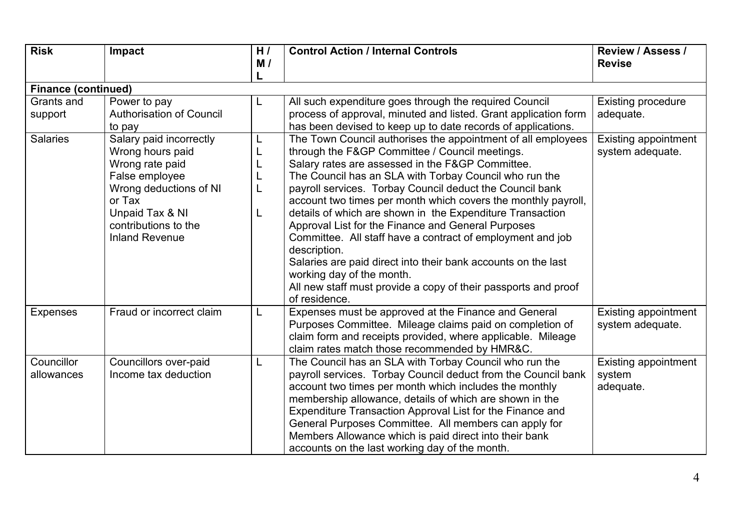| <b>Risk</b>              | Impact                                                                                                                                                                                   | H/                         | <b>Control Action / Internal Controls</b>                                                                                                                                                                                                                                                                                                                                                                                                                                                                                                                                                                                                                                                                                                   | <b>Review / Assess /</b>                           |  |  |  |  |
|--------------------------|------------------------------------------------------------------------------------------------------------------------------------------------------------------------------------------|----------------------------|---------------------------------------------------------------------------------------------------------------------------------------------------------------------------------------------------------------------------------------------------------------------------------------------------------------------------------------------------------------------------------------------------------------------------------------------------------------------------------------------------------------------------------------------------------------------------------------------------------------------------------------------------------------------------------------------------------------------------------------------|----------------------------------------------------|--|--|--|--|
|                          |                                                                                                                                                                                          | M/                         |                                                                                                                                                                                                                                                                                                                                                                                                                                                                                                                                                                                                                                                                                                                                             | <b>Revise</b>                                      |  |  |  |  |
|                          | <b>Finance (continued)</b>                                                                                                                                                               |                            |                                                                                                                                                                                                                                                                                                                                                                                                                                                                                                                                                                                                                                                                                                                                             |                                                    |  |  |  |  |
| Grants and               | Power to pay                                                                                                                                                                             | L                          | All such expenditure goes through the required Council                                                                                                                                                                                                                                                                                                                                                                                                                                                                                                                                                                                                                                                                                      | <b>Existing procedure</b>                          |  |  |  |  |
| support                  | <b>Authorisation of Council</b><br>to pay                                                                                                                                                |                            | process of approval, minuted and listed. Grant application form<br>has been devised to keep up to date records of applications.                                                                                                                                                                                                                                                                                                                                                                                                                                                                                                                                                                                                             | adequate.                                          |  |  |  |  |
| <b>Salaries</b>          | Salary paid incorrectly<br>Wrong hours paid<br>Wrong rate paid<br>False employee<br>Wrong deductions of NI<br>or Tax<br>Unpaid Tax & NI<br>contributions to the<br><b>Inland Revenue</b> | L<br>L<br>L<br>L<br>L<br>L | The Town Council authorises the appointment of all employees<br>through the F&GP Committee / Council meetings.<br>Salary rates are assessed in the F&GP Committee.<br>The Council has an SLA with Torbay Council who run the<br>payroll services. Torbay Council deduct the Council bank<br>account two times per month which covers the monthly payroll,<br>details of which are shown in the Expenditure Transaction<br>Approval List for the Finance and General Purposes<br>Committee. All staff have a contract of employment and job<br>description.<br>Salaries are paid direct into their bank accounts on the last<br>working day of the month.<br>All new staff must provide a copy of their passports and proof<br>of residence. | <b>Existing appointment</b><br>system adequate.    |  |  |  |  |
| <b>Expenses</b>          | Fraud or incorrect claim                                                                                                                                                                 | L                          | Expenses must be approved at the Finance and General<br>Purposes Committee. Mileage claims paid on completion of<br>claim form and receipts provided, where applicable. Mileage<br>claim rates match those recommended by HMR&C.                                                                                                                                                                                                                                                                                                                                                                                                                                                                                                            | <b>Existing appointment</b><br>system adequate.    |  |  |  |  |
| Councillor<br>allowances | Councillors over-paid<br>Income tax deduction                                                                                                                                            | L                          | The Council has an SLA with Torbay Council who run the<br>payroll services. Torbay Council deduct from the Council bank<br>account two times per month which includes the monthly<br>membership allowance, details of which are shown in the<br>Expenditure Transaction Approval List for the Finance and<br>General Purposes Committee. All members can apply for<br>Members Allowance which is paid direct into their bank<br>accounts on the last working day of the month.                                                                                                                                                                                                                                                              | <b>Existing appointment</b><br>system<br>adequate. |  |  |  |  |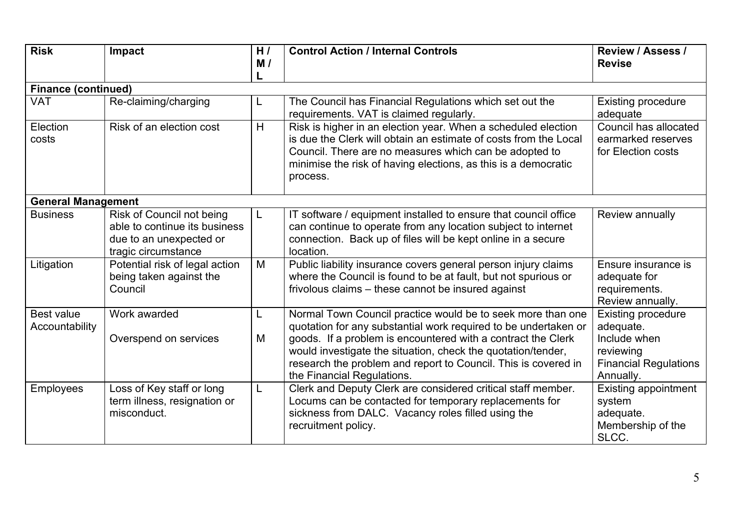| <b>Risk</b>                         | Impact                                                                                                       | H/<br>M/ | <b>Control Action / Internal Controls</b>                                                                                                                                                                                                                                                                                                                      | Review / Assess /<br><b>Revise</b>                                                                        |  |  |  |
|-------------------------------------|--------------------------------------------------------------------------------------------------------------|----------|----------------------------------------------------------------------------------------------------------------------------------------------------------------------------------------------------------------------------------------------------------------------------------------------------------------------------------------------------------------|-----------------------------------------------------------------------------------------------------------|--|--|--|
|                                     | <b>Finance (continued)</b>                                                                                   |          |                                                                                                                                                                                                                                                                                                                                                                |                                                                                                           |  |  |  |
| <b>VAT</b>                          | Re-claiming/charging                                                                                         | L        | The Council has Financial Regulations which set out the<br>requirements. VAT is claimed regularly.                                                                                                                                                                                                                                                             | <b>Existing procedure</b><br>adequate                                                                     |  |  |  |
| Election<br>costs                   | Risk of an election cost                                                                                     | H        | Risk is higher in an election year. When a scheduled election<br>is due the Clerk will obtain an estimate of costs from the Local<br>Council. There are no measures which can be adopted to<br>minimise the risk of having elections, as this is a democratic<br>process.                                                                                      | Council has allocated<br>earmarked reserves<br>for Election costs                                         |  |  |  |
| <b>General Management</b>           |                                                                                                              |          |                                                                                                                                                                                                                                                                                                                                                                |                                                                                                           |  |  |  |
| <b>Business</b>                     | Risk of Council not being<br>able to continue its business<br>due to an unexpected or<br>tragic circumstance | L        | IT software / equipment installed to ensure that council office<br>can continue to operate from any location subject to internet<br>connection. Back up of files will be kept online in a secure<br>location.                                                                                                                                                  | Review annually                                                                                           |  |  |  |
| Litigation                          | Potential risk of legal action<br>being taken against the<br>Council                                         | M        | Public liability insurance covers general person injury claims<br>where the Council is found to be at fault, but not spurious or<br>frivolous claims – these cannot be insured against                                                                                                                                                                         | Ensure insurance is<br>adequate for<br>requirements.<br>Review annually.                                  |  |  |  |
| <b>Best value</b><br>Accountability | Work awarded<br>Overspend on services                                                                        | L<br>M   | Normal Town Council practice would be to seek more than one<br>quotation for any substantial work required to be undertaken or<br>goods. If a problem is encountered with a contract the Clerk<br>would investigate the situation, check the quotation/tender,<br>research the problem and report to Council. This is covered in<br>the Financial Regulations. | Existing procedure<br>adequate.<br>Include when<br>reviewing<br><b>Financial Regulations</b><br>Annually. |  |  |  |
| <b>Employees</b>                    | Loss of Key staff or long<br>term illness, resignation or<br>misconduct.                                     | L        | Clerk and Deputy Clerk are considered critical staff member.<br>Locums can be contacted for temporary replacements for<br>sickness from DALC. Vacancy roles filled using the<br>recruitment policy.                                                                                                                                                            | <b>Existing appointment</b><br>system<br>adequate.<br>Membership of the<br>SLCC.                          |  |  |  |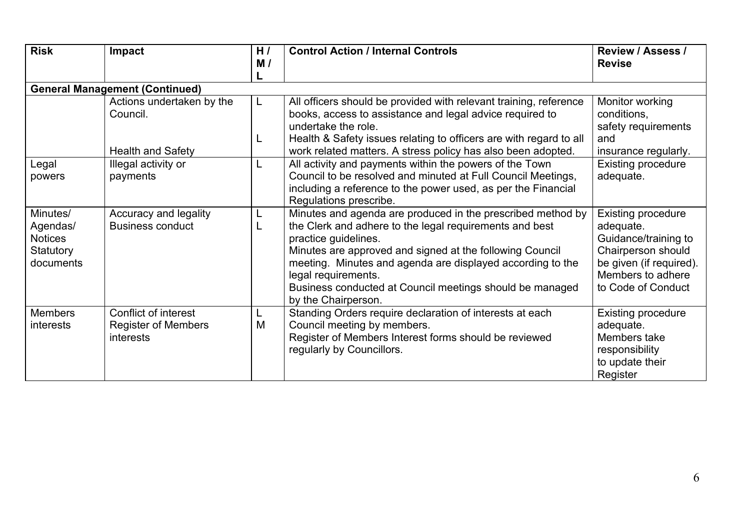| <b>Risk</b>                                                      | Impact                                                                        | H/<br>M/ | <b>Control Action / Internal Controls</b>                                                                                                                                                                                                                                                                                                                                          | <b>Review / Assess /</b><br><b>Revise</b>                                                                                                                  |
|------------------------------------------------------------------|-------------------------------------------------------------------------------|----------|------------------------------------------------------------------------------------------------------------------------------------------------------------------------------------------------------------------------------------------------------------------------------------------------------------------------------------------------------------------------------------|------------------------------------------------------------------------------------------------------------------------------------------------------------|
|                                                                  | <b>General Management (Continued)</b>                                         |          |                                                                                                                                                                                                                                                                                                                                                                                    |                                                                                                                                                            |
|                                                                  | Actions undertaken by the<br>Council.                                         | L        | All officers should be provided with relevant training, reference<br>books, access to assistance and legal advice required to<br>undertake the role.                                                                                                                                                                                                                               | Monitor working<br>conditions,<br>safety requirements                                                                                                      |
|                                                                  | <b>Health and Safety</b>                                                      | L        | Health & Safety issues relating to officers are with regard to all<br>work related matters. A stress policy has also been adopted.                                                                                                                                                                                                                                                 | and                                                                                                                                                        |
| Legal<br>powers                                                  | Illegal activity or<br>payments                                               |          | All activity and payments within the powers of the Town<br>Council to be resolved and minuted at Full Council Meetings,<br>including a reference to the power used, as per the Financial<br>Regulations prescribe.                                                                                                                                                                 | insurance regularly.<br><b>Existing procedure</b><br>adequate.                                                                                             |
| Minutes/<br>Agendas/<br><b>Notices</b><br>Statutory<br>documents | Accuracy and legality<br><b>Business conduct</b>                              |          | Minutes and agenda are produced in the prescribed method by<br>the Clerk and adhere to the legal requirements and best<br>practice guidelines.<br>Minutes are approved and signed at the following Council<br>meeting. Minutes and agenda are displayed according to the<br>legal requirements.<br>Business conducted at Council meetings should be managed<br>by the Chairperson. | <b>Existing procedure</b><br>adequate.<br>Guidance/training to<br>Chairperson should<br>be given (if required).<br>Members to adhere<br>to Code of Conduct |
| <b>Members</b><br>interests                                      | <b>Conflict of interest</b><br><b>Register of Members</b><br><i>interests</i> | M        | Standing Orders require declaration of interests at each<br>Council meeting by members.<br>Register of Members Interest forms should be reviewed<br>regularly by Councillors.                                                                                                                                                                                                      | <b>Existing procedure</b><br>adequate.<br>Members take<br>responsibility<br>to update their<br>Register                                                    |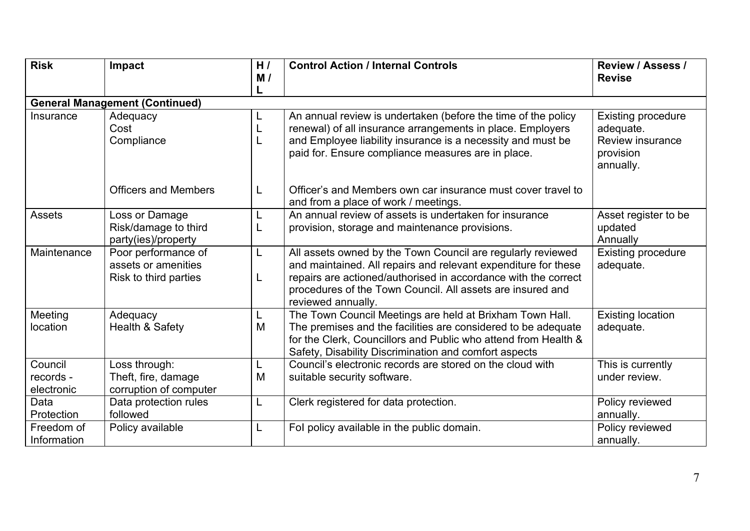| <b>Risk</b>                        | Impact                                                              | H/<br>M/ | <b>Control Action / Internal Controls</b>                                                                                                                                                                                                                                           | <b>Review / Assess /</b><br><b>Revise</b>                                                   |  |  |  |  |
|------------------------------------|---------------------------------------------------------------------|----------|-------------------------------------------------------------------------------------------------------------------------------------------------------------------------------------------------------------------------------------------------------------------------------------|---------------------------------------------------------------------------------------------|--|--|--|--|
|                                    | <b>General Management (Continued)</b>                               |          |                                                                                                                                                                                                                                                                                     |                                                                                             |  |  |  |  |
| Insurance                          | Adequacy<br>Cost<br>Compliance                                      | L<br>L   | An annual review is undertaken (before the time of the policy<br>renewal) of all insurance arrangements in place. Employers<br>and Employee liability insurance is a necessity and must be<br>paid for. Ensure compliance measures are in place.                                    | <b>Existing procedure</b><br>adequate.<br><b>Review insurance</b><br>provision<br>annually. |  |  |  |  |
|                                    | <b>Officers and Members</b>                                         | L        | Officer's and Members own car insurance must cover travel to<br>and from a place of work / meetings.                                                                                                                                                                                |                                                                                             |  |  |  |  |
| <b>Assets</b>                      | Loss or Damage<br>Risk/damage to third<br>party(ies)/property       | L<br>L   | An annual review of assets is undertaken for insurance<br>provision, storage and maintenance provisions.                                                                                                                                                                            | Asset register to be<br>updated<br>Annually                                                 |  |  |  |  |
| Maintenance                        | Poor performance of<br>assets or amenities<br>Risk to third parties | L<br>L   | All assets owned by the Town Council are regularly reviewed<br>and maintained. All repairs and relevant expenditure for these<br>repairs are actioned/authorised in accordance with the correct<br>procedures of the Town Council. All assets are insured and<br>reviewed annually. | <b>Existing procedure</b><br>adequate.                                                      |  |  |  |  |
| Meeting<br>location                | Adequacy<br>Health & Safety                                         | L<br>M   | The Town Council Meetings are held at Brixham Town Hall.<br>The premises and the facilities are considered to be adequate<br>for the Clerk, Councillors and Public who attend from Health &<br>Safety, Disability Discrimination and comfort aspects                                | <b>Existing location</b><br>adequate.                                                       |  |  |  |  |
| Council<br>records -<br>electronic | Loss through:<br>Theft, fire, damage<br>corruption of computer      | L<br>M   | Council's electronic records are stored on the cloud with<br>suitable security software.                                                                                                                                                                                            | This is currently<br>under review.                                                          |  |  |  |  |
| Data<br>Protection                 | Data protection rules<br>followed                                   | L        | Clerk registered for data protection.                                                                                                                                                                                                                                               | Policy reviewed<br>annually.                                                                |  |  |  |  |
| Freedom of<br>Information          | Policy available                                                    | L        | Fol policy available in the public domain.                                                                                                                                                                                                                                          | Policy reviewed<br>annually.                                                                |  |  |  |  |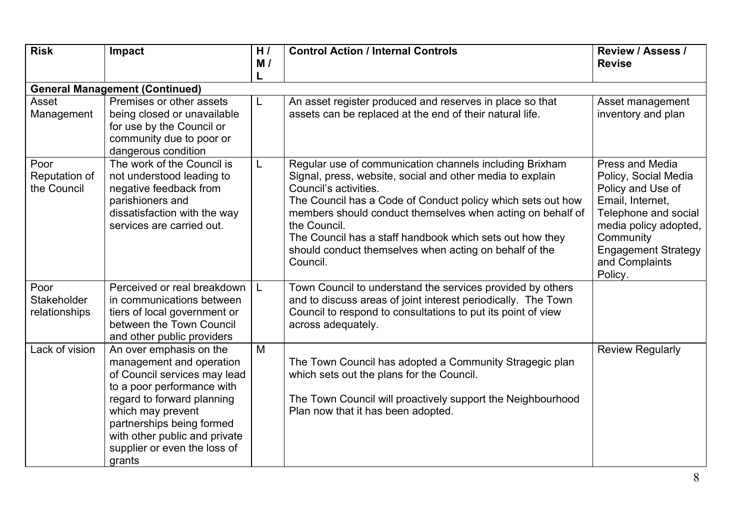| <b>Risk</b>                                 | Impact                                                                                                                                                                                                                                                                       | H/<br>M/<br>L | <b>Control Action / Internal Controls</b>                                                                                                                                                                                                                                                                                                                                                                                    | <b>Review / Assess /</b><br><b>Revise</b>                                                                                                                                                                 |
|---------------------------------------------|------------------------------------------------------------------------------------------------------------------------------------------------------------------------------------------------------------------------------------------------------------------------------|---------------|------------------------------------------------------------------------------------------------------------------------------------------------------------------------------------------------------------------------------------------------------------------------------------------------------------------------------------------------------------------------------------------------------------------------------|-----------------------------------------------------------------------------------------------------------------------------------------------------------------------------------------------------------|
|                                             | <b>General Management (Continued)</b>                                                                                                                                                                                                                                        |               |                                                                                                                                                                                                                                                                                                                                                                                                                              |                                                                                                                                                                                                           |
| Asset<br>Management                         | Premises or other assets<br>being closed or unavailable<br>for use by the Council or<br>community due to poor or<br>dangerous condition                                                                                                                                      | L             | An asset register produced and reserves in place so that<br>assets can be replaced at the end of their natural life.                                                                                                                                                                                                                                                                                                         | Asset management<br>inventory and plan                                                                                                                                                                    |
| Poor<br>Reputation of<br>the Council        | The work of the Council is<br>not understood leading to<br>negative feedback from<br>parishioners and<br>dissatisfaction with the way<br>services are carried out.                                                                                                           | L             | Regular use of communication channels including Brixham<br>Signal, press, website, social and other media to explain<br>Council's activities.<br>The Council has a Code of Conduct policy which sets out how<br>members should conduct themselves when acting on behalf of<br>the Council.<br>The Council has a staff handbook which sets out how they<br>should conduct themselves when acting on behalf of the<br>Council. | Press and Media<br>Policy, Social Media<br>Policy and Use of<br>Email, Internet,<br>Telephone and social<br>media policy adopted,<br>Community<br><b>Engagement Strategy</b><br>and Complaints<br>Policy. |
| Poor<br><b>Stakeholder</b><br>relationships | Perceived or real breakdown<br>in communications between<br>tiers of local government or<br>between the Town Council<br>and other public providers                                                                                                                           | $\mathsf{L}$  | Town Council to understand the services provided by others<br>and to discuss areas of joint interest periodically. The Town<br>Council to respond to consultations to put its point of view<br>across adequately.                                                                                                                                                                                                            |                                                                                                                                                                                                           |
| Lack of vision                              | An over emphasis on the<br>management and operation<br>of Council services may lead<br>to a poor performance with<br>regard to forward planning<br>which may prevent<br>partnerships being formed<br>with other public and private<br>supplier or even the loss of<br>grants | M             | The Town Council has adopted a Community Stragegic plan<br>which sets out the plans for the Council.<br>The Town Council will proactively support the Neighbourhood<br>Plan now that it has been adopted.                                                                                                                                                                                                                    | <b>Review Regularly</b>                                                                                                                                                                                   |